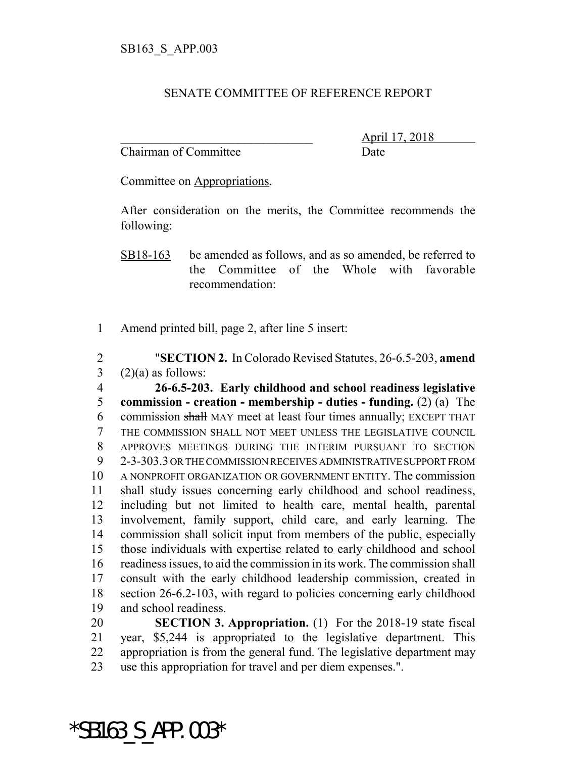## SENATE COMMITTEE OF REFERENCE REPORT

Chairman of Committee Date

\_\_\_\_\_\_\_\_\_\_\_\_\_\_\_\_\_\_\_\_\_\_\_\_\_\_\_\_\_\_\_ April 17, 2018

Committee on Appropriations.

After consideration on the merits, the Committee recommends the following:

SB18-163 be amended as follows, and as so amended, be referred to the Committee of the Whole with favorable recommendation:

Amend printed bill, page 2, after line 5 insert:

 "**SECTION 2.** In Colorado Revised Statutes, 26-6.5-203, **amend** (2)(a) as follows:

 **26-6.5-203. Early childhood and school readiness legislative commission - creation - membership - duties - funding.** (2) (a) The 6 commission shall MAY meet at least four times annually: EXCEPT THAT THE COMMISSION SHALL NOT MEET UNLESS THE LEGISLATIVE COUNCIL APPROVES MEETINGS DURING THE INTERIM PURSUANT TO SECTION 2-3-303.3 OR THE COMMISSION RECEIVES ADMINISTRATIVE SUPPORT FROM A NONPROFIT ORGANIZATION OR GOVERNMENT ENTITY. The commission shall study issues concerning early childhood and school readiness, including but not limited to health care, mental health, parental involvement, family support, child care, and early learning. The commission shall solicit input from members of the public, especially those individuals with expertise related to early childhood and school readiness issues, to aid the commission in its work. The commission shall consult with the early childhood leadership commission, created in section 26-6.2-103, with regard to policies concerning early childhood and school readiness.

 **SECTION 3. Appropriation.** (1) For the 2018-19 state fiscal year, \$5,244 is appropriated to the legislative department. This appropriation is from the general fund. The legislative department may use this appropriation for travel and per diem expenses.".

\*SB163\_S\_APP.003\*